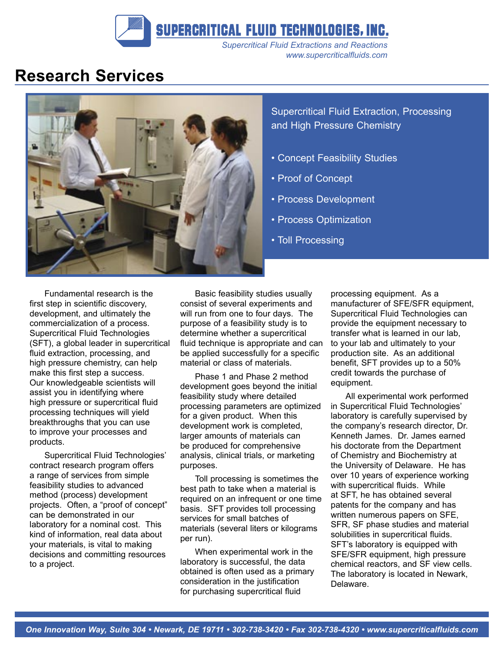SUPERCRITICAL FLUID TECHNOLOGIES, INC.

*Supercritical Fluid Extractions and Reactions www.supercriticalfluids.com*

## **Research Services**



Supercritical Fluid Extraction, Processing and High Pressure Chemistry

- Concept Feasibility Studies
- Proof of Concept
- Process Development
- Process Optimization
- Toll Processing

Fundamental research is the first step in scientific discovery, development, and ultimately the commercialization of a process. Supercritical Fluid Technologies (SFT), a global leader in supercritical fluid extraction, processing, and high pressure chemistry, can help make this first step a success. Our knowledgeable scientists will assist you in identifying where high pressure or supercritical fluid processing techniques will yield breakthroughs that you can use to improve your processes and products.

Supercritical Fluid Technologies' contract research program offers a range of services from simple feasibility studies to advanced method (process) development projects. Often, a "proof of concept" can be demonstrated in our laboratory for a nominal cost. This kind of information, real data about your materials, is vital to making decisions and committing resources to a project.

Basic feasibility studies usually consist of several experiments and will run from one to four days. The purpose of a feasibility study is to determine whether a supercritical fluid technique is appropriate and can be applied successfully for a specific material or class of materials.

Phase 1 and Phase 2 method development goes beyond the initial feasibility study where detailed processing parameters are optimized for a given product. When this development work is completed, larger amounts of materials can be produced for comprehensive analysis, clinical trials, or marketing purposes.

Toll processing is sometimes the best path to take when a material is required on an infrequent or one time basis. SFT provides toll processing services for small batches of materials (several liters or kilograms per run).

When experimental work in the laboratory is successful, the data obtained is often used as a primary consideration in the justification for purchasing supercritical fluid

processing equipment. As a manufacturer of SFE/SFR equipment, Supercritical Fluid Technologies can provide the equipment necessary to transfer what is learned in our lab, to your lab and ultimately to your production site. As an additional benefit, SFT provides up to a 50% credit towards the purchase of equipment.

All experimental work performed in Supercritical Fluid Technologies' laboratory is carefully supervised by the company's research director, Dr. Kenneth James. Dr. James earned his doctorate from the Department of Chemistry and Biochemistry at the University of Delaware. He has over 10 years of experience working with supercritical fluids. While at SFT, he has obtained several patents for the company and has written numerous papers on SFE, SFR, SF phase studies and material solubilities in supercritical fluids. SFT's laboratory is equipped with SFE/SFR equipment, high pressure chemical reactors, and SF view cells. The laboratory is located in Newark, Delaware.